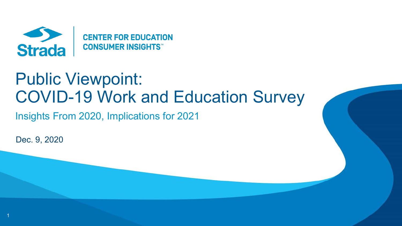

# Public Viewpoint: COVID-19 Work and Education Survey

Insights From 2020, Implications for 2021

Dec. 9, 2020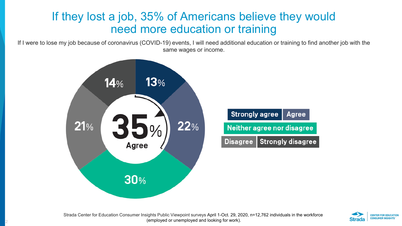#### If they lost a job, 35% of Americans believe they would need more education or training

If I were to lose my job because of coronavirus (COVID-19) events, I will need additional education or training to find another job with the same wages or income.



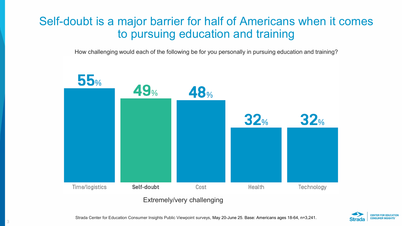#### Self-doubt is a major barrier for half of Americans when it comes to pursuing education and training

How challenging would each of the following be for you personally in pursuing education and training?





Strada Center for Education Consumer Insights Public Viewpoint surveys, May 20-June 25. Base: Americans ages 18-64, n=3,241.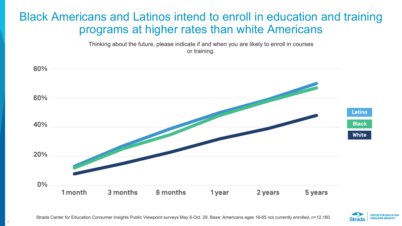### Black Americans and Latinos intend to enroll in education and training programs at higher rates than white Americans

Thinking about the future, please indicate if and when you are likely to enroll in courses or training.



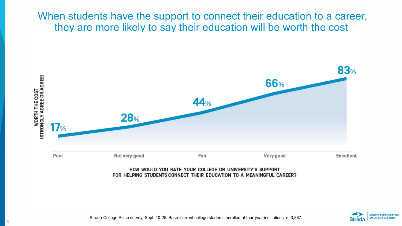#### When students have the support to connect their education to a career, they are more likely to say their education will be worth the cost



#### HOW WOULD YOU RATE YOUR COLLEGE OR UNIVERSITY'S SUPPORT FOR HELPING STUDENTS CONNECT THEIR EDUCATION TO A MEANINGFUL CAREER?



Strada-College Pulse survey, Sept. 10-25. Base: current college students enrolled at four-year institutions, n=3,887.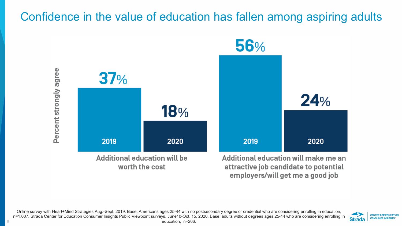#### Confidence in the value of education has fallen among aspiring adults





Online survey with Heart+Mind Strategies Aug.-Sept. 2019. Base: Americans ages 25-44 with no postsecondary degree or credential who are considering enrolling in education, n=1,007. Strada Center for Education Consumer Insights Public Viewpoint surveys, June10-Oct. 15, 2020. Base: adults without degrees ages 25-44 who are considering enrolling in education, n=206.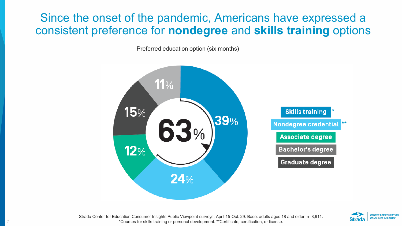#### Since the onset of the pandemic, Americans have expressed a consistent preference for **nondegree** and **skills training** options

Preferred education option (six months)





Strada Center for Education Consumer Insights Public Viewpoint surveys, April 15-Oct. 29. Base: adults ages 18 and older, n=8,911. \*Courses for skills training or personal development. \*\*Certificate, certification, or license.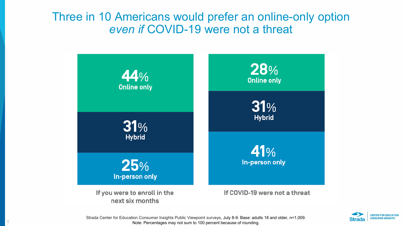#### Three in 10 Americans would prefer an online-only option *even if* COVID-19 were not a threat





Strada Center for Education Consumer Insights Public Viewpoint surveys, July 8-9. Base: adults 18 and older, n=1,009. Note: Percentages may not sum to 100 percent because of rounding.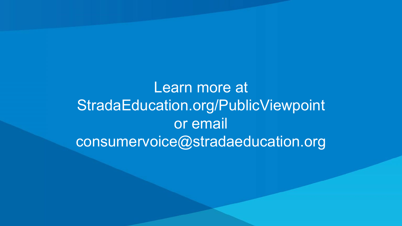## Learn more at StradaEducation.org/PublicViewpoint or email consumervoice@stradaeducation.org